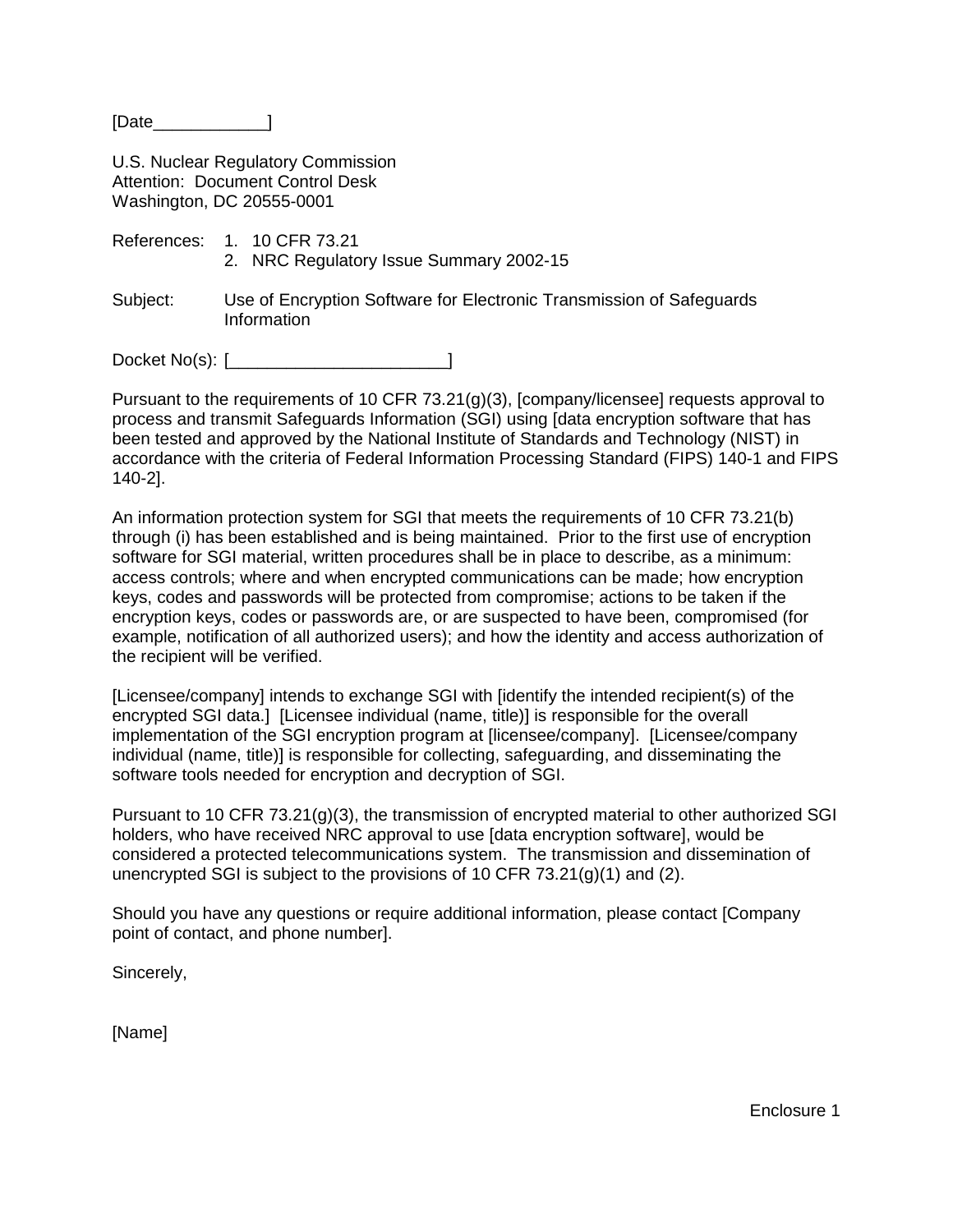[Date 1

U.S. Nuclear Regulatory Commission Attention: Document Control Desk Washington, DC 20555-0001

- References: 1. 10 CFR 73.21 2. NRC Regulatory Issue Summary 2002-15
- Subject: Use of Encryption Software for Electronic Transmission of Safeguards Information

Docket No(s): [\_\_\_\_\_\_\_\_\_\_\_\_\_\_\_\_\_\_\_\_\_\_\_]

Pursuant to the requirements of 10 CFR 73.21(g)(3), [company/licensee] requests approval to process and transmit Safeguards Information (SGI) using [data encryption software that has been tested and approved by the National Institute of Standards and Technology (NIST) in accordance with the criteria of Federal Information Processing Standard (FIPS) 140-1 and FIPS 140-2].

An information protection system for SGI that meets the requirements of 10 CFR 73.21(b) through (i) has been established and is being maintained. Prior to the first use of encryption software for SGI material, written procedures shall be in place to describe, as a minimum: access controls; where and when encrypted communications can be made; how encryption keys, codes and passwords will be protected from compromise; actions to be taken if the encryption keys, codes or passwords are, or are suspected to have been, compromised (for example, notification of all authorized users); and how the identity and access authorization of the recipient will be verified.

[Licensee/company] intends to exchange SGI with [identify the intended recipient(s) of the encrypted SGI data.] [Licensee individual (name, title)] is responsible for the overall implementation of the SGI encryption program at [licensee/company]. [Licensee/company individual (name, title)] is responsible for collecting, safeguarding, and disseminating the software tools needed for encryption and decryption of SGI.

Pursuant to 10 CFR 73.21(g)(3), the transmission of encrypted material to other authorized SGI holders, who have received NRC approval to use [data encryption software], would be considered a protected telecommunications system. The transmission and dissemination of unencrypted SGI is subject to the provisions of 10 CFR 73.21(g)(1) and (2).

Should you have any questions or require additional information, please contact [Company point of contact, and phone number].

Sincerely,

[Name]